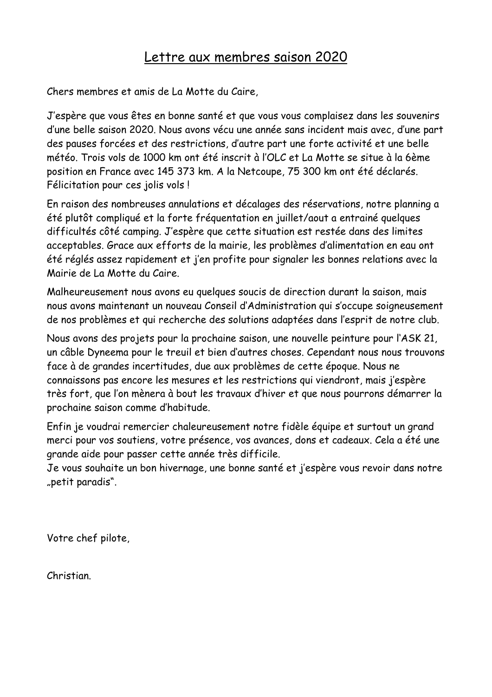## Lettre aux membres saison 2020

Chers membres et amis de La Motte du Caire,

J'espère que vous êtes en bonne santé et que vous vous complaisez dans les souvenirs d'une belle saison 2020. Nous avons vécu une année sans incident mais avec, d'une part des pauses forcées et des restrictions, d'autre part une forte activité et une belle météo. Trois vols de 1000 km ont été inscrit à l'OLC et La Motte se situe à la 6ème position en France avec 145 373 km. A la Netcoupe, 75 300 km ont été déclarés. Félicitation pour ces jolis vols !

En raison des nombreuses annulations et décalages des réservations, notre planning a été plutôt compliqué et la forte fréquentation en juillet/aout a entrainé quelques difficultés côté camping. J'espère que cette situation est restée dans des limites acceptables. Grace aux efforts de la mairie, les problèmes d'alimentation en eau ont été réglés assez rapidement et j'en profite pour signaler les bonnes relations avec la Mairie de La Motte du Caire.

Malheureusement nous avons eu quelques soucis de direction durant la saison, mais nous avons maintenant un nouveau Conseil d'Administration qui s'occupe soigneusement de nos problèmes et qui recherche des solutions adaptées dans l'esprit de notre club.

Nous avons des projets pour la prochaine saison, une nouvelle peinture pour l'ASK 21, un câble Dyneema pour le treuil et bien d'autres choses. Cependant nous nous trouvons face à de grandes incertitudes, due aux problèmes de cette époque. Nous ne connaissons pas encore les mesures et les restrictions qui viendront, mais j'espère très fort, que l'on mènera à bout les travaux d'hiver et que nous pourrons démarrer la prochaine saison comme d'habitude.

Enfin je voudrai remercier chaleureusement notre fidèle équipe et surtout un grand merci pour vos soutiens, votre présence, vos avances, dons et cadeaux. Cela a été une grande aide pour passer cette année très difficile.

Je vous souhaite un bon hivernage, une bonne santé et j'espère vous revoir dans notre "petit paradis".

Votre chef pilote,

Christian.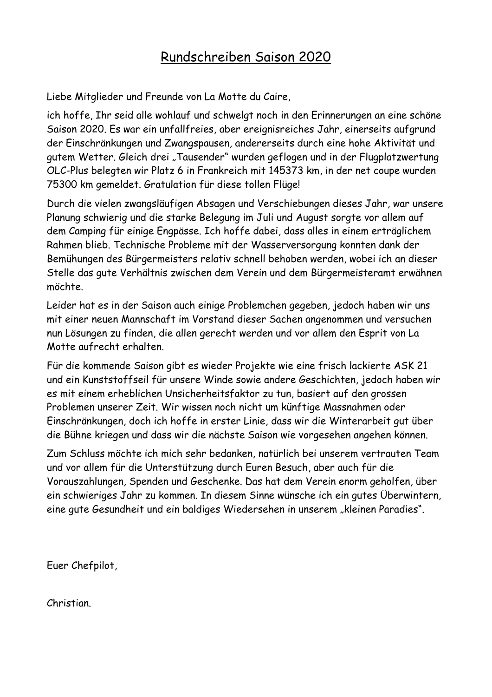## Rundschreiben Saison 2020

Liebe Mitglieder und Freunde von La Motte du Caire,

ich hoffe, Ihr seid alle wohlauf und schwelgt noch in den Erinnerungen an eine schöne Saison 2020. Es war ein unfallfreies, aber ereignisreiches Jahr, einerseits aufgrund der Einschränkungen und Zwangspausen, andererseits durch eine hohe Aktivität und gutem Wetter. Gleich drei "Tausender" wurden geflogen und in der Flugplatzwertung OLC-Plus belegten wir Platz 6 in Frankreich mit 145373 km, in der net coupe wurden 75300 km gemeldet. Gratulation für diese tollen Flüge!

Durch die vielen zwangsläufigen Absagen und Verschiebungen dieses Jahr, war unsere Planung schwierig und die starke Belegung im Juli und August sorgte vor allem auf dem Camping für einige Engpässe. Ich hoffe dabei, dass alles in einem erträglichem Rahmen blieb. Technische Probleme mit der Wasserversorgung konnten dank der Bemühungen des Bürgermeisters relativ schnell behoben werden, wobei ich an dieser Stelle das gute Verhältnis zwischen dem Verein und dem Bürgermeisteramt erwähnen möchte.

Leider hat es in der Saison auch einige Problemchen gegeben, jedoch haben wir uns mit einer neuen Mannschaft im Vorstand dieser Sachen angenommen und versuchen nun Lösungen zu finden, die allen gerecht werden und vor allem den Esprit von La Motte aufrecht erhalten.

Für die kommende Saison gibt es wieder Projekte wie eine frisch lackierte ASK 21 und ein Kunststoffseil für unsere Winde sowie andere Geschichten, jedoch haben wir es mit einem erheblichen Unsicherheitsfaktor zu tun, basiert auf den grossen Problemen unserer Zeit. Wir wissen noch nicht um künftige Massnahmen oder Einschränkungen, doch ich hoffe in erster Linie, dass wir die Winterarbeit gut über die Bühne kriegen und dass wir die nächste Saison wie vorgesehen angehen können.

Zum Schluss möchte ich mich sehr bedanken, natürlich bei unserem vertrauten Team und vor allem für die Unterstützung durch Euren Besuch, aber auch für die Vorauszahlungen, Spenden und Geschenke. Das hat dem Verein enorm geholfen, über ein schwieriges Jahr zu kommen. In diesem Sinne wünsche ich ein gutes Überwintern, eine gute Gesundheit und ein baldiges Wiedersehen in unserem "kleinen Paradies".

Euer Chefpilot,

Christian.